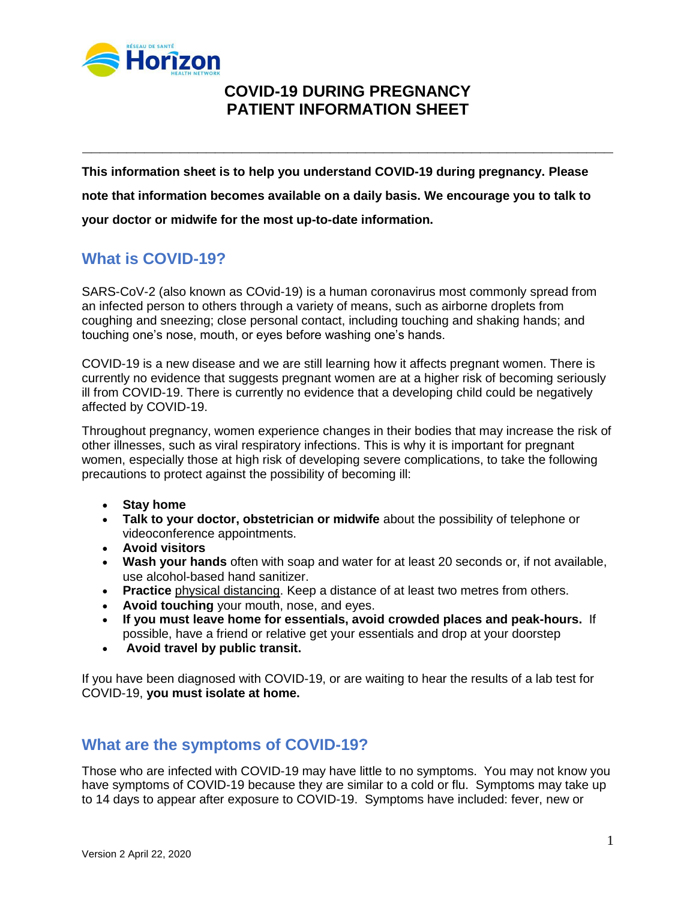

# **COVID-19 DURING PREGNANCY PATIENT INFORMATION SHEET**

**\_\_\_\_\_\_\_\_\_\_\_\_\_\_\_\_\_\_\_\_\_\_\_\_\_\_\_\_\_\_\_\_\_\_\_\_\_\_\_\_\_\_\_\_\_\_\_\_\_\_\_\_\_\_\_\_\_\_\_\_**

**This information sheet is to help you understand COVID-19 during pregnancy. Please note that information becomes available on a daily basis. We encourage you to talk to your doctor or midwife for the most up-to-date information.**

# **What is COVID-19?**

SARS-CoV-2 (also known as COvid-19) is a human coronavirus most commonly spread from an infected person to others through a variety of means, such as airborne droplets from coughing and sneezing; close personal contact, including touching and shaking hands; and touching one's nose, mouth, or eyes before washing one's hands.

COVID-19 is a new disease and we are still learning how it affects pregnant women. There is currently no evidence that suggests pregnant women are at a higher risk of becoming seriously ill from COVID-19. There is currently no evidence that a developing child could be negatively affected by COVID-19.

Throughout pregnancy, women experience changes in their bodies that may increase the risk of other illnesses, such as viral respiratory infections. This is why it is important for pregnant women, especially those at high risk of developing severe complications, to take the following precautions to protect against the possibility of becoming ill:

- **Stay home**
- **Talk to your doctor, obstetrician or midwife** about the possibility of telephone or videoconference appointments.
- **Avoid visitors**
- **[Wash your hands](https://www.canada.ca/en/public-health/services/publications/diseases-conditions/reduce-spread-covid-19-wash-your-hands.html)** often with soap and water for at least 20 seconds or, if not available, use alcohol-based hand sanitizer.
- **Practice** [physical distancing.](https://www.canada.ca/en/public-health/services/publications/diseases-conditions/social-distancing.html) Keep a distance of at least two metres from others.
- **Avoid touching** your mouth, nose, and eyes.
- **If you must leave home for essentials, avoid crowded places and peak-hours.** If possible, have a friend or relative get your essentials and drop at your doorstep
- **Avoid travel by public transit.**

If you have been diagnosed with COVID-19, or are waiting to hear the results of a lab test for COVID-19, **you must [isolate at home.](https://www.canada.ca/en/public-health/services/publications/diseases-conditions/covid-19-how-to-isolate-at-home.html)**

### **What are the symptoms of COVID-19?**

Those who are infected with COVID-19 may have little to no symptoms. You may not know you have symptoms of COVID-19 because they are similar to a cold or flu. Symptoms may take up to 14 days to appear after exposure to COVID-19. Symptoms have included: fever, new or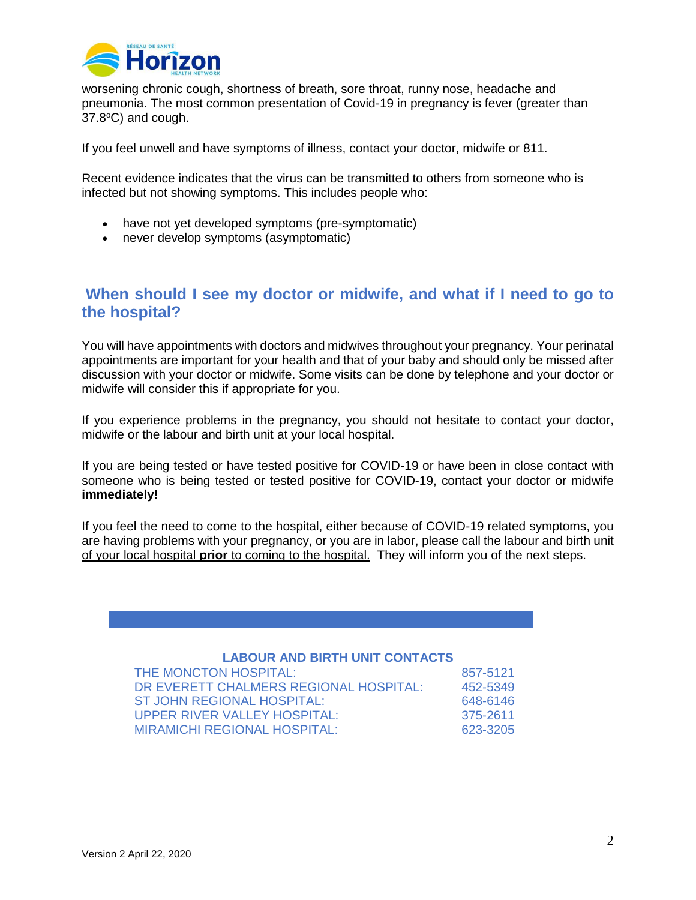

worsening chronic cough, shortness of breath, sore throat, runny nose, headache and pneumonia. The most common presentation of Covid-19 in pregnancy is fever (greater than  $37.8$ °C) and cough.

If you feel unwell and have symptoms of illness, contact your doctor, midwife or 811.

Recent evidence indicates that the virus can be transmitted to others from someone who is infected but not showing symptoms. This includes people who:

- have not yet developed symptoms (pre-symptomatic)
- never develop symptoms (asymptomatic)

#### **When should I see my doctor or midwife, and what if I need to go to the hospital?**

You will have appointments with doctors and midwives throughout your pregnancy. Your perinatal appointments are important for your health and that of your baby and should only be missed after discussion with your doctor or midwife. Some visits can be done by telephone and your doctor or midwife will consider this if appropriate for you.

If you experience problems in the pregnancy, you should not hesitate to contact your doctor, midwife or the labour and birth unit at your local hospital.

If you are being tested or have tested positive for COVID-19 or have been in close contact with someone who is being tested or tested positive for COVID-19, contact your doctor or midwife **immediately!**

If you feel the need to come to the hospital, either because of COVID-19 related symptoms, you are having problems with your pregnancy, or you are in labor, please call the labour and birth unit of your local hospital **prior** to coming to the hospital. They will inform you of the next steps.

#### **LABOUR AND BIRTH UNIT CONTACTS**

| THE MONCTON HOSPITAL:                  | 857-5121 |
|----------------------------------------|----------|
| DR EVERETT CHALMERS REGIONAL HOSPITAL: | 452-5349 |
| ST JOHN REGIONAL HOSPITAL:             | 648-6146 |
| UPPER RIVER VALLEY HOSPITAL:           | 375-2611 |
| <b>MIRAMICHI REGIONAL HOSPITAL:</b>    | 623-3205 |
|                                        |          |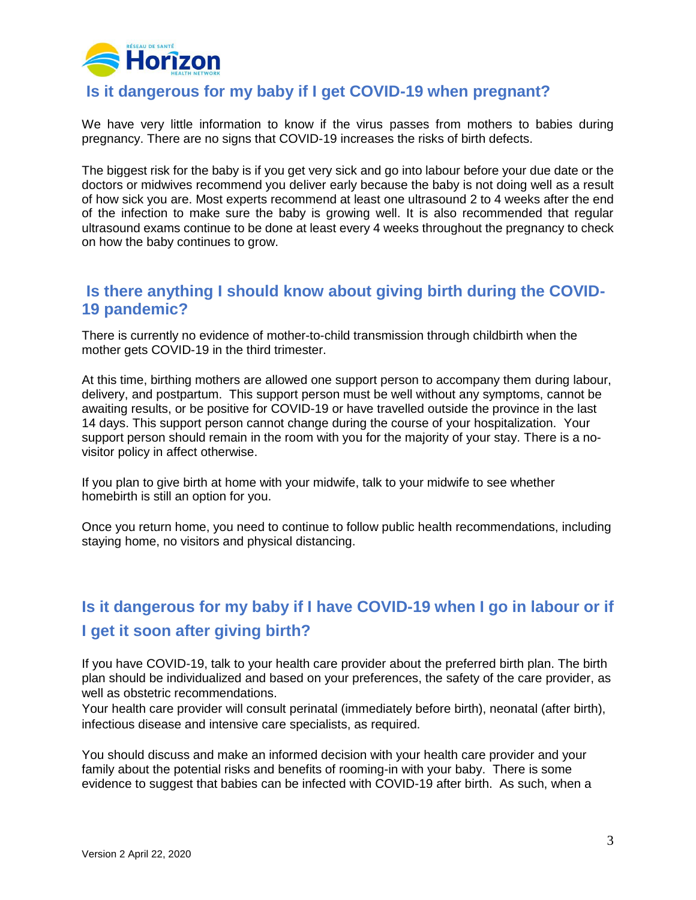

### **Is it dangerous for my baby if I get COVID-19 when pregnant?**

We have very little information to know if the virus passes from mothers to babies during pregnancy. There are no signs that COVID-19 increases the risks of birth defects.

The biggest risk for the baby is if you get very sick and go into labour before your due date or the doctors or midwives recommend you deliver early because the baby is not doing well as a result of how sick you are. Most experts recommend at least one ultrasound 2 to 4 weeks after the end of the infection to make sure the baby is growing well. It is also recommended that regular ultrasound exams continue to be done at least every 4 weeks throughout the pregnancy to check on how the baby continues to grow.

### **Is there anything I should know about giving birth during the COVID-19 pandemic?**

There is currently no evidence of mother-to-child transmission through childbirth when the mother gets COVID-19 in the third trimester.

At this time, birthing mothers are allowed one support person to accompany them during labour, delivery, and postpartum. This support person must be well without any symptoms, cannot be awaiting results, or be positive for COVID-19 or have travelled outside the province in the last 14 days. This support person cannot change during the course of your hospitalization. Your support person should remain in the room with you for the majority of your stay. There is a novisitor policy in affect otherwise.

If you plan to give birth at home with your midwife, talk to your midwife to see whether homebirth is still an option for you.

Once you return home, you need to continue to follow public health recommendations, including staying home, no visitors and physical distancing.

# **Is it dangerous for my baby if I have COVID-19 when I go in labour or if I get it soon after giving birth?**

If you have COVID-19, talk to your health care provider about the preferred birth plan. The birth plan should be individualized and based on your preferences, the safety of the care provider, as well as obstetric recommendations.

Your health care provider will consult perinatal (immediately before birth), neonatal (after birth), infectious disease and intensive care specialists, as required.

You should discuss and make an informed decision with your health care provider and your family about the potential risks and benefits of rooming-in with your baby. There is some evidence to suggest that babies can be infected with COVID-19 after birth. As such, when a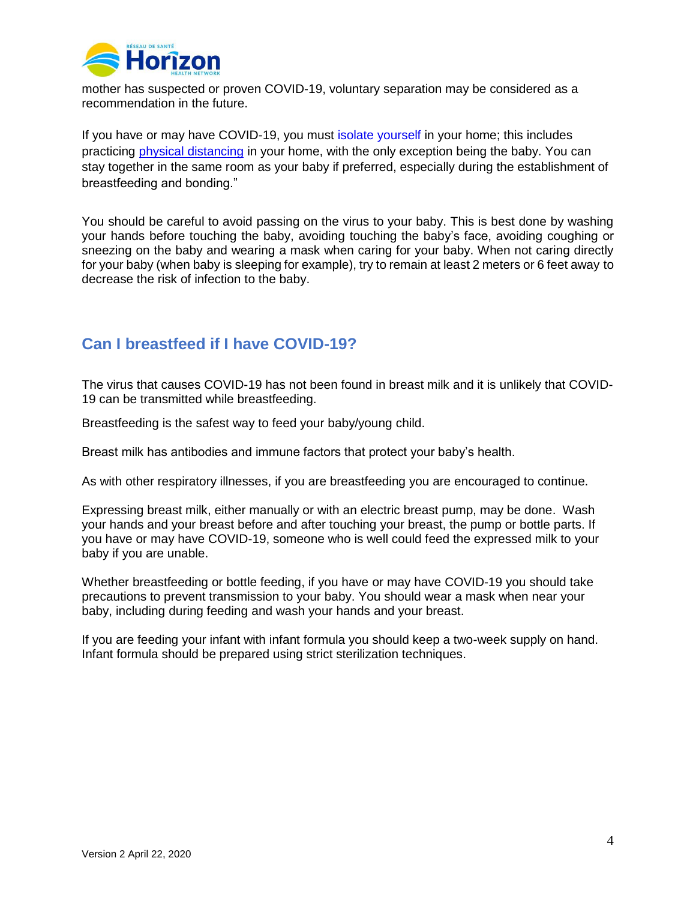

mother has suspected or proven COVID-19, voluntary separation may be considered as a recommendation in the future.

If you have or may have COVID-19, you must [isolate yourself](https://www.canada.ca/en/public-health/services/publications/diseases-conditions/covid-19-how-to-isolate-at-home.html) in your home; this includes practicing [physical distancing](https://www.canada.ca/en/public-health/services/publications/diseases-conditions/social-distancing.html) in your home, with the only exception being the baby. You can stay together in the same room as your baby if preferred, especially during the establishment of breastfeeding and bonding."

You should be careful to avoid passing on the virus to your baby. This is best done by washing your hands before touching the baby, avoiding touching the baby's face, avoiding coughing or sneezing on the baby and wearing a mask when caring for your baby. When not caring directly for your baby (when baby is sleeping for example), try to remain at least 2 meters or 6 feet away to decrease the risk of infection to the baby.

## **Can I breastfeed if I have COVID-19?**

The virus that causes COVID-19 has not been found in breast milk and it is unlikely that COVID-19 can be transmitted while breastfeeding.

Breastfeeding is the safest way to feed your baby/young child.

Breast milk has antibodies and immune factors that protect your baby's health.

As with other respiratory illnesses, if you are breastfeeding you are encouraged to continue.

Expressing breast milk, either manually or with an electric breast pump, may be done. Wash your hands and your breast before and after touching your breast, the pump or bottle parts. If you have or may have COVID-19, someone who is well could feed the expressed milk to your baby if you are unable.

Whether breastfeeding or bottle feeding, if you have or may have COVID-19 you should take precautions to prevent transmission to your baby. You should wear a mask when near your baby, including during feeding and wash your hands and your breast.

If you are feeding your infant with infant formula you should keep a two-week supply on hand. Infant formula should be prepared using strict sterilization techniques.